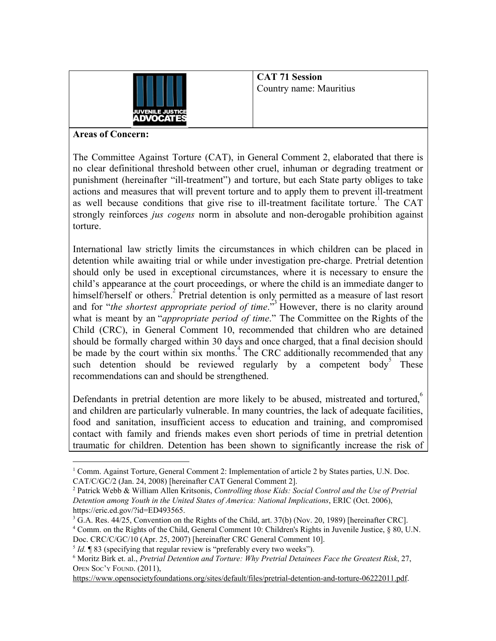

**CAT 71 Session** Country name: Mauritius

## **Areas of Concern:**

The Committee Against Torture (CAT), in General Comment 2, elaborated that there is no clear definitional threshold between other cruel, inhuman or degrading treatment or punishment (hereinafter "ill-treatment") and torture, but each State party obliges to take actions and measures that will prevent torture and to apply them to prevent ill-treatment as well because conditions that give rise to ill-treatment facilitate torture. The CAT strongly reinforces *jus cogens* norm in absolute and non-derogable prohibition against torture.

International law strictly limits the circumstances in which children can be placed in detention while awaiting trial or while under investigation pre-charge. Pretrial detention should only be used in exceptional circumstances, where it is necessary to ensure the child's appearance at the court proceedings, or where the child is an immediate danger to himself/herself or others.<sup>2</sup> Pretrial detention is only permitted as a measure of last resort and for "*the shortest appropriate period of time*."<sup>3</sup> However, there is no clarity around what is meant by an "*appropriate period of time*." The Committee on the Rights of the Child (CRC), in General Comment 10, recommended that children who are detained should be formally charged within 30 days and once charged, that a final decision should be made by the court within six months.<sup>4</sup> The CRC additionally recommended that any such detention should be reviewed regularly by a competent body These recommendations can and should be strengthened.

Defendants in pretrial detention are more likely to be abused, mistreated and tortured, $\delta$ and children are particularly vulnerable. In many countries, the lack of adequate facilities, food and sanitation, insufficient access to education and training, and compromised contact with family and friends makes even short periods of time in pretrial detention traumatic for children. Detention has been shown to significantly increase the risk of

<https://www.opensocietyfoundations.org/sites/default/files/pretrial-detention-and-torture-06222011.pdf>.

<sup>&</sup>lt;sup>1</sup> Comm. Against Torture, General Comment 2: Implementation of article 2 by States parties, U.N. Doc. CAT/C/GC/2 (Jan. 24, 2008) [hereinafter CAT General Comment 2].

<sup>2</sup> Patrick Webb & William Allen Kritsonis, *Controlling those Kids: Social Control and the Use of Pretrial Detention among Youth in the United States of America: National Implications*, ERIC (Oct. 2006), https://eric.ed.gov/?id=ED493565.

 $3$  G.A. Res. 44/25, Convention on the Rights of the Child, art. 37(b) (Nov. 20, 1989) [hereinafter CRC].

<sup>4</sup> Comm. on the Rights of the Child, General Comment 10: Children's Rights in Juvenile Justice, § 80, U.N. Doc. CRC/C/GC/10 (Apr. 25, 2007) [hereinafter CRC General Comment 10].

<sup>&</sup>lt;sup>5</sup> *Id*. **¶** 83 (specifying that regular review is "preferably every two weeks").

<sup>6</sup> Moritz Birk et. al., *Pretrial Detention and Torture: Why Pretrial Detainees Face the Greatest Risk*, 27, OPEN SOC'<sup>Y</sup> FOUND. (2011),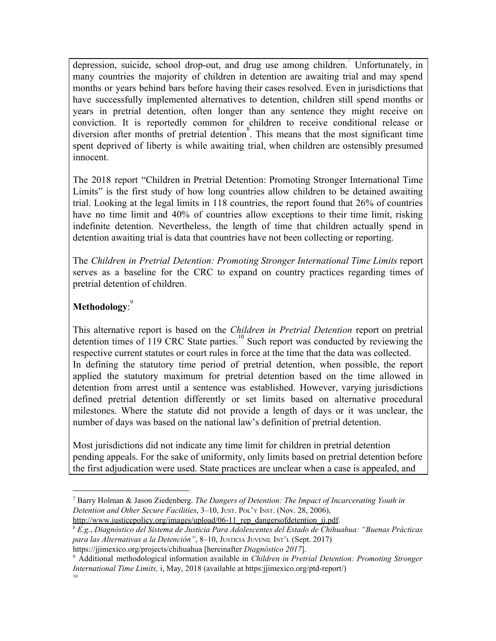depression, suicide, school drop-out, and drug use among children. Unfortunately, in many countries the majority of children in detention are awaiting trial and may spend months or years behind bars before having their cases resolved. Even in jurisdictions that have successfully implemented alternatives to detention, children still spend months or years in pretrial detention, often longer than any sentence they might receive on conviction. It is reportedly common for children to receive conditional release or diversion after months of pretrial detention<sup>8</sup>. This means that the most significant time spent deprived of liberty is while awaiting trial, when children are ostensibly presumed innocent.

The 2018 report "Children in Pretrial Detention: Promoting Stronger International Time Limits" is the first study of how long countries allow children to be detained awaiting trial. Looking at the legal limits in 118 countries, the report found that 26% of countries have no time limit and 40% of countries allow exceptions to their time limit, risking indefinite detention. Nevertheless, the length of time that children actually spend in detention awaiting trial is data that countries have not been collecting or reporting.

The *Children in Pretrial Detention: Promoting Stronger International Time Limits* report serves as a baseline for the CRC to expand on country practices regarding times of pretrial detention of children.

## **Methodology**: 9

This alternative report is based on the *Children in Pretrial Detention* report on pretrial detention times of 119 CRC State parties.<sup>10</sup> Such report was conducted by reviewing the respective current statutes or court rules in force at the time that the data was collected. In defining the statutory time period of pretrial detention, when possible, the report applied the statutory maximum for pretrial detention based on the time allowed in detention from arrest until a sentence was established. However, varying jurisdictions defined pretrial detention differently or set limits based on alternative procedural milestones. Where the statute did not provide a length of days or it was unclear, the number of days was based on the national law's definition of pretrial detention.

Most jurisdictions did not indicate any time limit for children in pretrial detention pending appeals. For the sake of uniformity, only limits based on pretrial detention before the first adjudication were used. State practices are unclear when a case is appealed, and

<sup>8</sup> *E.g.*, *Diagnóstico del Sistema de Justicia Para Adolescentes del Estado de Chihuahua: "Buenas Prácticas para las Alternativas a la Detención"*, 8–10, JUSTICIA JUVENIL INT'<sup>L</sup> (Sept. 2017)

<sup>7</sup> Barry Holman & Jason Ziedenberg. *The Dangers of Detention: The Impact of Incarcerating Youth in Detention and Other Secure Facilities*, 3–10, JUST. POL'<sup>Y</sup> INST. (Nov. 28, 2006), http://www.justicepolicy.org/images/upload/06-11 rep\_dangersofdetention\_jj.pdf.

https://jjimexico.org/projects/chihuahua [hereinafter *Diagnóstico 2017*].

<sup>9</sup> Additional methodological information available in *Children in Pretrial Detention: Promoting Stronger International Time Limits,* i, May, 2018 (available at https:jjimexico.org/ptd-report/) 10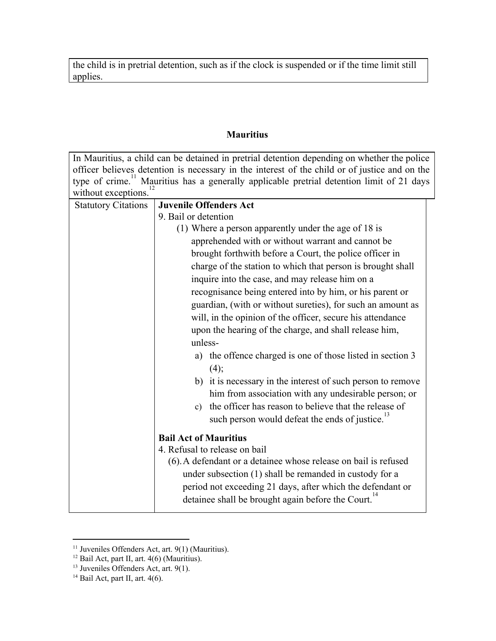the child is in pretrial detention, such as if the clock is suspended or if the time limit still applies.

## **Mauritius**

|                                                                                               | In Mauritius, a child can be detained in pretrial detention depending on whether the police           |  |  |
|-----------------------------------------------------------------------------------------------|-------------------------------------------------------------------------------------------------------|--|--|
| officer believes detention is necessary in the interest of the child or of justice and on the |                                                                                                       |  |  |
|                                                                                               | type of crime. <sup>11</sup> Mauritius has a generally applicable pretrial detention limit of 21 days |  |  |
| without exceptions.                                                                           |                                                                                                       |  |  |
| <b>Statutory Citations</b>                                                                    | <b>Juvenile Offenders Act</b>                                                                         |  |  |
|                                                                                               | 9. Bail or detention                                                                                  |  |  |
|                                                                                               | (1) Where a person apparently under the age of 18 is                                                  |  |  |
|                                                                                               | apprehended with or without warrant and cannot be                                                     |  |  |
|                                                                                               | brought forthwith before a Court, the police officer in                                               |  |  |
|                                                                                               | charge of the station to which that person is brought shall                                           |  |  |
|                                                                                               | inquire into the case, and may release him on a                                                       |  |  |
|                                                                                               | recognisance being entered into by him, or his parent or                                              |  |  |
|                                                                                               | guardian, (with or without sureties), for such an amount as                                           |  |  |
|                                                                                               | will, in the opinion of the officer, secure his attendance                                            |  |  |
|                                                                                               | upon the hearing of the charge, and shall release him,                                                |  |  |
|                                                                                               | unless-                                                                                               |  |  |
|                                                                                               | the offence charged is one of those listed in section 3<br>a)                                         |  |  |
|                                                                                               | (4);                                                                                                  |  |  |
|                                                                                               |                                                                                                       |  |  |
|                                                                                               | b) it is necessary in the interest of such person to remove                                           |  |  |
|                                                                                               | him from association with any undesirable person; or                                                  |  |  |
|                                                                                               | the officer has reason to believe that the release of<br>c)                                           |  |  |
|                                                                                               | such person would defeat the ends of justice.                                                         |  |  |
|                                                                                               | <b>Bail Act of Mauritius</b>                                                                          |  |  |
|                                                                                               | 4. Refusal to release on bail                                                                         |  |  |
|                                                                                               | (6). A defendant or a detainee whose release on bail is refused                                       |  |  |
|                                                                                               | under subsection (1) shall be remanded in custody for a                                               |  |  |
|                                                                                               | period not exceeding 21 days, after which the defendant or                                            |  |  |
|                                                                                               | detainee shall be brought again before the Court. <sup>14</sup>                                       |  |  |
|                                                                                               |                                                                                                       |  |  |

 $11$  Juveniles Offenders Act, art.  $9(1)$  (Mauritius).

 $12$  Bail Act, part II, art. 4(6) (Mauritius).

<sup>&</sup>lt;sup>13</sup> Juveniles Offenders Act, art. 9(1).

 $14$  Bail Act, part II, art. 4(6).